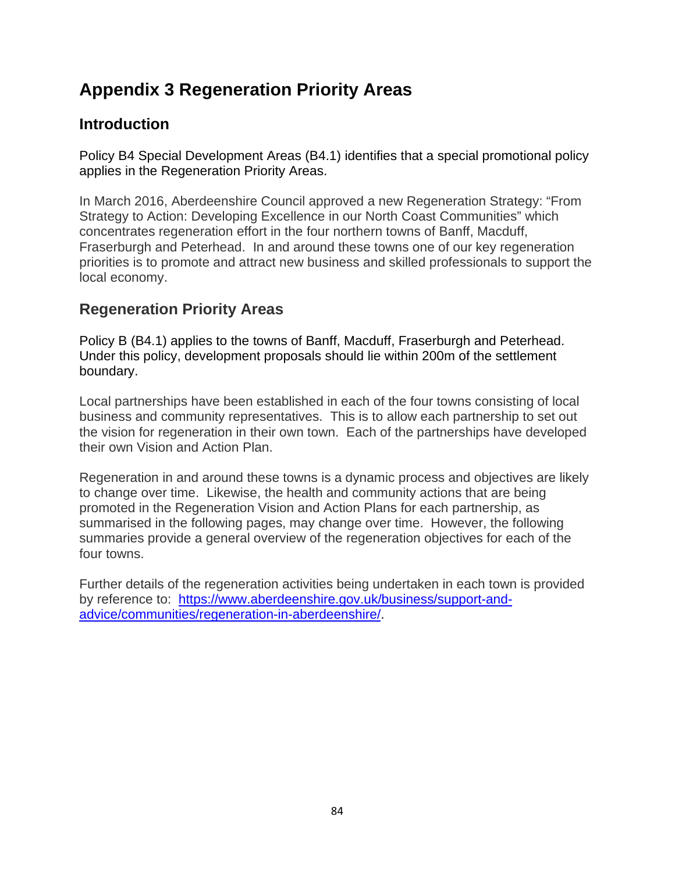## **Appendix 3 Regeneration Priority Areas**

## **Introduction**

Policy B4 Special Development Areas (B4.1) identifies that a special promotional policy applies in the Regeneration Priority Areas.

In March 2016, Aberdeenshire Council approved a new Regeneration Strategy: "From Strategy to Action: Developing Excellence in our North Coast Communities" which concentrates regeneration effort in the four northern towns of Banff, Macduff, Fraserburgh and Peterhead. In and around these towns one of our key regeneration priorities is to promote and attract new business and skilled professionals to support the local economy.

## **Regeneration Priority Areas**

Policy B (B4.1) applies to the towns of Banff, Macduff, Fraserburgh and Peterhead. Under this policy, development proposals should lie within 200m of the settlement boundary.

Local partnerships have been established in each of the four towns consisting of local business and community representatives. This is to allow each partnership to set out the vision for regeneration in their own town. Each of the partnerships have developed their own Vision and Action Plan.

Regeneration in and around these towns is a dynamic process and objectives are likely to change over time. Likewise, the health and community actions that are being promoted in the Regeneration Vision and Action Plans for each partnership, as summarised in the following pages, may change over time. However, the following summaries provide a general overview of the regeneration objectives for each of the four towns.

Further details of the regeneration activities being undertaken in each town is provided by reference to: [https://www.aberdeenshire.gov.uk/business/support-and](https://www.aberdeenshire.gov.uk/business/support-and-advice/communities/regeneration-in-aberdeenshire/)[advice/communities/regeneration-in-aberdeenshire/.](https://www.aberdeenshire.gov.uk/business/support-and-advice/communities/regeneration-in-aberdeenshire/)